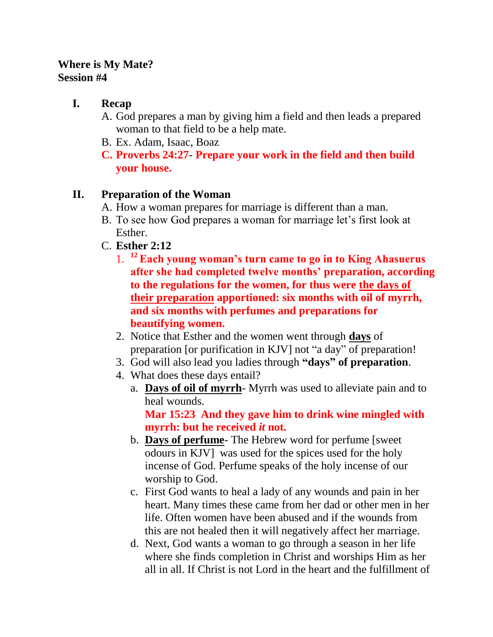## **Where is My Mate? Session #4**

# **I. Recap**

- A. God prepares a man by giving him a field and then leads a prepared woman to that field to be a help mate.
- B. Ex. Adam, Isaac, Boaz
- **C. Proverbs 24:27 Prepare your work in the field and then build your house.**

# **II. Preparation of the Woman**

- A. How a woman prepares for marriage is different than a man.
- B. To see how God prepares a woman for marriage let's first look at Esther.
- C. **Esther 2:12**
	- 1. **<sup>12</sup>Each young woman's turn came to go in to King Ahasuerus after she had completed twelve months' preparation, according to the regulations for the women, for thus were the days of their preparation apportioned: six months with oil of myrrh, and six months with perfumes and preparations for beautifying women.**
	- 2. Notice that Esther and the women went through **days** of preparation [or purification in KJV] not "a day" of preparation!
	- 3. God will also lead you ladies through **"days" of preparation**.
	- 4. What does these days entail?
		- a. **Days of oil of myrrh** Myrrh was used to alleviate pain and to heal wounds.

**Mar 15:23 And they gave him to drink wine mingled with myrrh: but he received** *it* **not.** 

- b. **Days of perfume** The Hebrew word for perfume [sweet odours in KJV] was used for the spices used for the holy incense of God. Perfume speaks of the holy incense of our worship to God.
- c. First God wants to heal a lady of any wounds and pain in her heart. Many times these came from her dad or other men in her life. Often women have been abused and if the wounds from this are not healed then it will negatively affect her marriage.
- d. Next, God wants a woman to go through a season in her life where she finds completion in Christ and worships Him as her all in all. If Christ is not Lord in the heart and the fulfillment of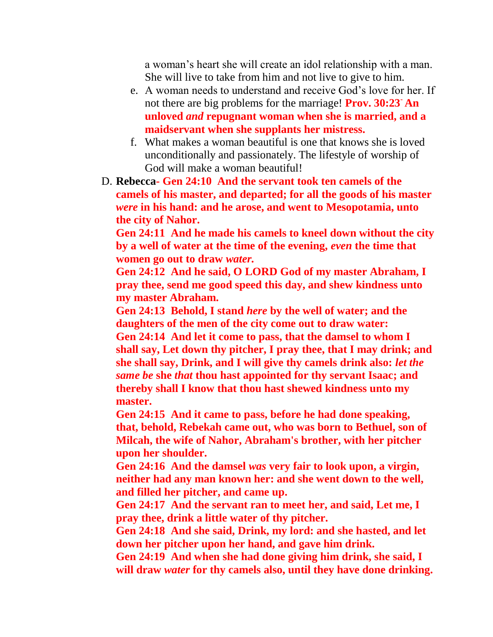a woman's heart she will create an idol relationship with a man. She will live to take from him and not live to give to him.

- e. A woman needs to understand and receive God's love for her. If not there are big problems for the marriage! **Prov. 30:23- An unloved** *and* **repugnant woman when she is married, and a maidservant when she supplants her mistress.**
- f. What makes a woman beautiful is one that knows she is loved unconditionally and passionately. The lifestyle of worship of God will make a woman beautiful!
- D. **Rebecca- Gen 24:10 And the servant took ten camels of the camels of his master, and departed; for all the goods of his master**  *were* **in his hand: and he arose, and went to Mesopotamia, unto the city of Nahor.**

**Gen 24:11 And he made his camels to kneel down without the city by a well of water at the time of the evening,** *even* **the time that women go out to draw** *water.*

**Gen 24:12 And he said, O LORD God of my master Abraham, I pray thee, send me good speed this day, and shew kindness unto my master Abraham.** 

**Gen 24:13 Behold, I stand** *here* **by the well of water; and the daughters of the men of the city come out to draw water: Gen 24:14 And let it come to pass, that the damsel to whom I shall say, Let down thy pitcher, I pray thee, that I may drink; and she shall say, Drink, and I will give thy camels drink also:** *let the same be* **she** *that* **thou hast appointed for thy servant Isaac; and thereby shall I know that thou hast shewed kindness unto my master.** 

**Gen 24:15 And it came to pass, before he had done speaking, that, behold, Rebekah came out, who was born to Bethuel, son of Milcah, the wife of Nahor, Abraham's brother, with her pitcher upon her shoulder.** 

**Gen 24:16 And the damsel** *was* **very fair to look upon, a virgin, neither had any man known her: and she went down to the well, and filled her pitcher, and came up.** 

**Gen 24:17 And the servant ran to meet her, and said, Let me, I pray thee, drink a little water of thy pitcher.** 

**Gen 24:18 And she said, Drink, my lord: and she hasted, and let down her pitcher upon her hand, and gave him drink.** 

**Gen 24:19 And when she had done giving him drink, she said, I will draw** *water* **for thy camels also, until they have done drinking.**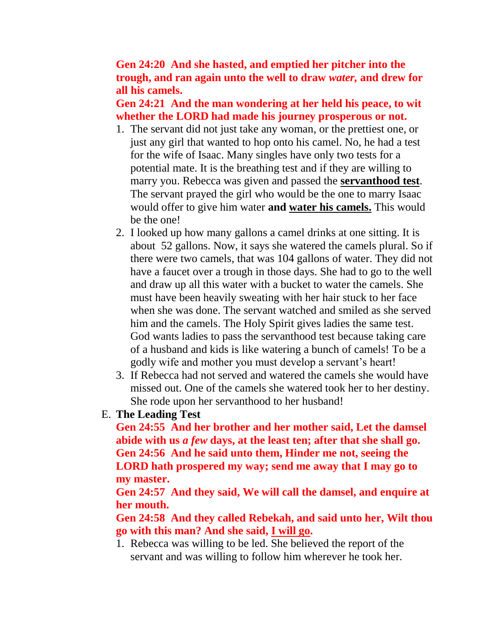#### **Gen 24:20 And she hasted, and emptied her pitcher into the trough, and ran again unto the well to draw** *water,* **and drew for all his camels.**

**Gen 24:21 And the man wondering at her held his peace, to wit whether the LORD had made his journey prosperous or not.** 

- 1. The servant did not just take any woman, or the prettiest one, or just any girl that wanted to hop onto his camel. No, he had a test for the wife of Isaac. Many singles have only two tests for a potential mate. It is the breathing test and if they are willing to marry you. Rebecca was given and passed the **servanthood test**. The servant prayed the girl who would be the one to marry Isaac would offer to give him water **and water his camels.** This would be the one!
- 2. I looked up how many gallons a camel drinks at one sitting. It is about 52 gallons. Now, it says she watered the camels plural. So if there were two camels, that was 104 gallons of water. They did not have a faucet over a trough in those days. She had to go to the well and draw up all this water with a bucket to water the camels. She must have been heavily sweating with her hair stuck to her face when she was done. The servant watched and smiled as she served him and the camels. The Holy Spirit gives ladies the same test. God wants ladies to pass the servanthood test because taking care of a husband and kids is like watering a bunch of camels! To be a godly wife and mother you must develop a servant's heart!
- 3. If Rebecca had not served and watered the camels she would have missed out. One of the camels she watered took her to her destiny. She rode upon her servanthood to her husband!
- E. **The Leading Test**

**Gen 24:55 And her brother and her mother said, Let the damsel abide with us** *a few* **days, at the least ten; after that she shall go. Gen 24:56 And he said unto them, Hinder me not, seeing the LORD hath prospered my way; send me away that I may go to my master.** 

**Gen 24:57 And they said, We will call the damsel, and enquire at her mouth.** 

**Gen 24:58 And they called Rebekah, and said unto her, Wilt thou go with this man? And she said, I will go.** 

1. Rebecca was willing to be led. She believed the report of the servant and was willing to follow him wherever he took her.